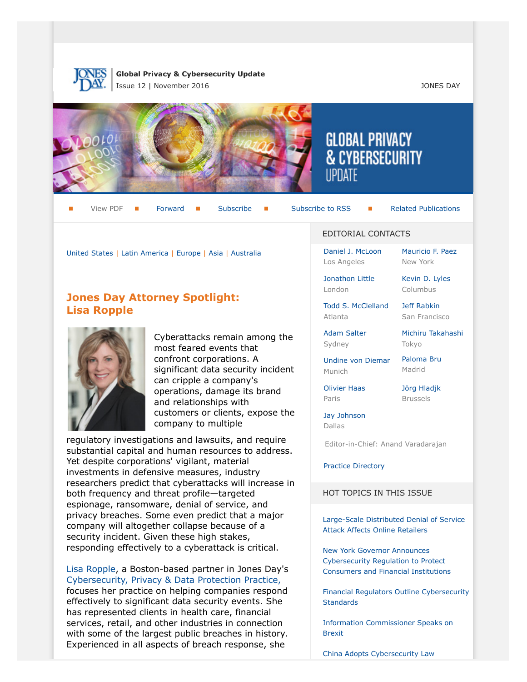

**Global Privacy & Cybersecurity Update** Issue 12 | November 2016 JONES DAY



View PDF **[Forward](http://thewritestuff.jonesday.com/cff/59382cf612974325d2fc19fb1c341ccb127ef602/) Forward [Subscribe](http://www.jonesday.com/newsknowledge/publications.aspx) Gubscribe to RSS** [Related Publications](http://www.jonesday.com/experiencepractices/servicedetail.aspx?serviceid=667cc279-13c5-42de-b91c-34b923a75c52§ion=Publications)

[United States](#page-1-0) | [Latin America](#page-6-0) | [Europe](#page-7-0) | [Asia](#page-10-0) | [Australia](#page-12-0)

# **Jones Day Attorney Spotlight: Lisa Ropple**



Cyberattacks remain among the most feared events that confront corporations. A significant data security incident can cripple a company's operations, damage its brand and relationships with customers or clients, expose the company to multiple

regulatory investigations and lawsuits, and require substantial capital and human resources to address. Yet despite corporations' vigilant, material investments in defensive measures, industry researchers predict that cyberattacks will increase in both frequency and threat profile—targeted espionage, ransomware, denial of service, and privacy breaches. Some even predict that a major company will altogether collapse because of a security incident. Given these high stakes, responding effectively to a cyberattack is critical.

[Lisa Ropple](http://www.jonesday.com/lropple), a Boston-based partner in Jones Day's [Cybersecurity, Privacy & Data Protection Practice,](http://www.jonesday.com/cybersecurity) focuses her practice on helping companies respond effectively to significant data security events. She has represented clients in health care, financial services, retail, and other industries in connection with some of the largest public breaches in history. Experienced in all aspects of breach response, she

#### EDITORIAL CONTACTS

**GLOBAL PRIVACY** 

**& CYBERSECURITY** 

[Daniel J. McLoon](http://www.jonesday.com/djmcloon) Los Angeles

[Jonathon Little](http://www.jonesday.com/jrlittle) London

[Kevin D. Lyles](http://www.jonesday.com/kdlyles) Columbus

[Mauricio F. Paez](http://www.jonesday.com/mfpaez) New York

[Todd S. McClelland](http://www.jonesday.com/tmcclelland) Atlanta

[Jeff Rabkin](http://www.jonesday.com/jrabkin) San Francisco

[Michiru Takahashi](http://www.jonesday.com/mtakahashi)

[Adam Salter](http://www.jonesday.com/asalter) Sydney

[Undine von Diemar](http://www.jonesday.com/uvondiemar) Munich

[Olivier Haas](http://www.jonesday.com/ohaas) Paris

[Jörg Hladjk](http://www.jonesday.com/jhladjk) Brussels

[Paloma Bru](http://www.jonesday.com/pbru) Madrid

Tokyo

[Jay Johnson](http://www.jonesday.com/jjohnson) Dallas

Editor-in-Chief: Anand Varadarajan

#### [Practice Directory](#page-12-1)

#### HOT TOPICS IN THIS ISSUE

[Large-Scale Distributed Denial of Service](#page-2-0) [Attack Affects Online Retailers](#page-2-0)

[New York Governor Announces](#page-3-0) [Cybersecurity Regulation to Protect](#page-3-0) [Consumers and Financial Institutions](#page-3-0)

[Financial Regulators Outline Cybersecurity](#page-4-0) **[Standards](#page-4-0)** 

[Information Commissioner Speaks on](#page-10-1) [Brexit](#page-10-1)

[China Adopts Cybersecurity Law](#page-10-2)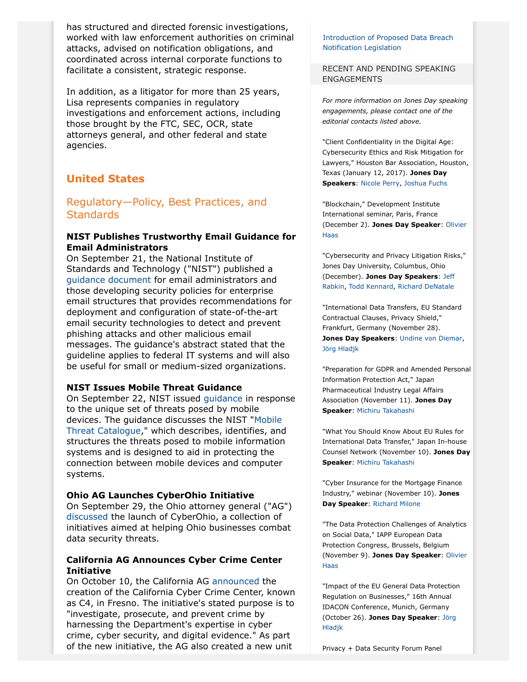has structured and directed forensic investigations, worked with law enforcement authorities on criminal attacks, advised on notification obligations, and coordinated across internal corporate functions to facilitate a consistent, strategic response.

In addition, as a litigator for more than 25 years, Lisa represents companies in regulatory investigations and enforcement actions, including those brought by the FTC, SEC, OCR, state attorneys general, and other federal and state agencies.

# <span id="page-1-0"></span>**United States**

# Regulatory—Policy, Best Practices, and **Standards**

### **NIST Publishes Trustworthy Email Guidance for Email Administrators**

On September 21, the National Institute of Standards and Technology ("NIST") published a [guidance document](http://nvlpubs.nist.gov/nistpubs/SpecialPublications/NIST.SP.800-177.pdf) for email administrators and those developing security policies for enterprise email structures that provides recommendations for deployment and configuration of state-of-the-art email security technologies to detect and prevent phishing attacks and other malicious email messages. The guidance's abstract stated that the guideline applies to federal IT systems and will also be useful for small or medium-sized organizations.

### **NIST Issues Mobile Threat Guidance**

On September 22, NIST issued [guidance](http://csrc.nist.gov/publications/drafts/nistir-8144/nistir8144_draft.pdf) in response to the unique set of threats posed by mobile devices. The guidance discusses the NIST "[Mobile](https://pages.nist.gov/mobile-threat-catalogue/) [Threat Catalogue,](https://pages.nist.gov/mobile-threat-catalogue/)" which describes, identifies, and structures the threats posed to mobile information systems and is designed to aid in protecting the connection between mobile devices and computer systems.

### **Ohio AG Launches CyberOhio Initiative**

On September 29, the Ohio attorney general ("AG") [discussed](http://www.ohioattorneygeneral.gov/Media/News-Releases/September-2016/Attorney-General-DeWine-Launches-CyberOhio-Initiat) the launch of CyberOhio, a collection of initiatives aimed at helping Ohio businesses combat data security threats.

## **California AG Announces Cyber Crime Center Initiative**

On October 10, the California AG [announced](https://oag.ca.gov/news/press-releases/attorney-general-kamala-d-harris-announces-california-cyber-crime-center) the creation of the California Cyber Crime Center, known as C4, in Fresno. The initiative's stated purpose is to "investigate, prosecute, and prevent crime by harnessing the Department's expertise in cyber crime, cyber security, and digital evidence." As part of the new initiative, the AG also created a new unit

#### [Introduction of Proposed Data Breach](#page-12-2) [Notification Legislation](#page-12-2)

#### RECENT AND PENDING SPEAKING ENGAGEMENTS

*For more information on Jones Day speaking engagements, please contact one of the editorial contacts listed above.*

"Client Confidentiality in the Digital Age: Cybersecurity Ethics and Risk Mitigation for Lawyers," Houston Bar Association, Houston, Texas (January 12, 2017). **Jones Day Speakers**: [Nicole Perry](http://www.jonesday.com/nmperry), [Joshua Fuchs](http://www.jonesday.com/jlfuchs)

"Blockchain," Development Institute International seminar, Paris, France (December 2). **Jones Day Speaker**: [Olivier](http://www.jonesday.com/ohaas) [Haas](http://www.jonesday.com/ohaas)

"Cybersecurity and Privacy Litigation Risks," Jones Day University, Columbus, Ohio (December). **Jones Day Speakers**: [Jeff](http://www.jonesday.com/jrabkin) [Rabkin](http://www.jonesday.com/jrabkin), [Todd Kennard](http://www.jonesday.com/jtkennard), [Richard DeNatale](http://www.jonesday.com/rdenatale)

"International Data Transfers, EU Standard Contractual Clauses, Privacy Shield," Frankfurt, Germany (November 28). **Jones Day Speakers**: [Undine von Diemar](http://www.jonesday.com/uvondiemar), [Jörg Hladjk](http://www.jonesday.com/jhladjk)

"Preparation for GDPR and Amended Personal Information Protection Act," Japan Pharmaceutical Industry Legal Affairs Association (November 11). **Jones Day Speaker**: [Michiru Takahashi](http://www.jonesday.com/mtakahashi)

"What You Should Know About EU Rules for International Data Transfer," Japan In-house Counsel Network (November 10). **Jones Day Speaker**: [Michiru Takahashi](http://www.jonesday.com/mtakahashi)

"Cyber Insurance for the Mortgage Finance Industry," webinar (November 10). **Jones Day Speaker**: [Richard Milone](http://www.jonesday.com/rmilone)

"The Data Protection Challenges of Analytics on Social Data," IAPP European Data Protection Congress, Brussels, Belgium (November 9). **Jones Day Speaker**: [Olivier](http://www.jonesday.com/ohaas) [Haas](http://www.jonesday.com/ohaas)

"Impact of the EU General Data Protection Regulation on Businesses," 16th Annual IDACON Conference, Munich, Germany (October 26). **Jones Day Speaker**: [Jörg](http://www.jonesday.com/jhladjk) **Hladik** 

Privacy + Data Security Forum Panel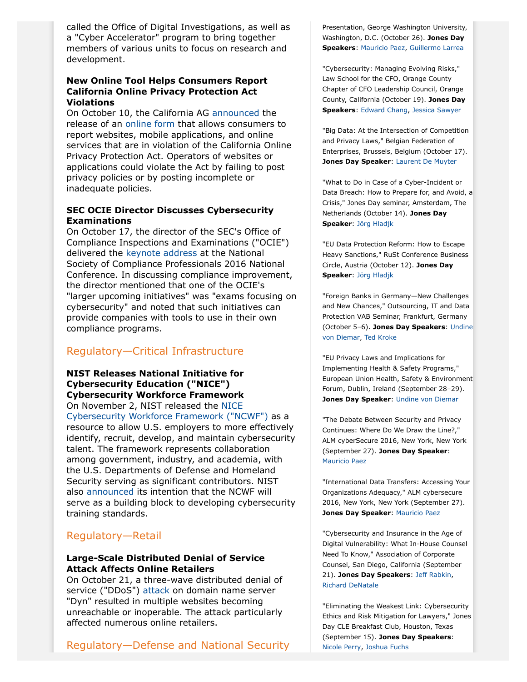called the Office of Digital Investigations, as well as a "Cyber Accelerator" program to bring together members of various units to focus on research and development.

### **New Online Tool Helps Consumers Report California Online Privacy Protection Act Violations**

On October 10, the California AG [announced](https://oag.ca.gov/news/press-releases/attorney-general-kamala-d-harris-launches-new-tool-help-consumers-report) the release of an [online form](https://oag.ca.gov/reportprivacy) that allows consumers to report websites, mobile applications, and online services that are in violation of the California Online Privacy Protection Act. Operators of websites or applications could violate the Act by failing to post privacy policies or by posting incomplete or inadequate policies.

# **SEC OCIE Director Discusses Cybersecurity Examinations**

On October 17, the director of the SEC's Office of Compliance Inspections and Examinations ("OCIE") delivered the [keynote address](https://www.sec.gov/news/speech/inside-the-national-exam-program-in-2016.html#_ftn5) at the National Society of Compliance Professionals 2016 National Conference. In discussing compliance improvement, the director mentioned that one of the OCIE's "larger upcoming initiatives" was "exams focusing on cybersecurity" and noted that such initiatives can provide companies with tools to use in their own compliance programs.

# Regulatory—Critical Infrastructure

**NIST Releases National Initiative for Cybersecurity Education ("NICE") Cybersecurity Workforce Framework** On November 2, NIST released the [NICE](http://csrc.nist.gov/publications/drafts/800-181/sp800_181_draft.pdf) [Cybersecurity Workforce Framework \("NCWF"\)](http://csrc.nist.gov/publications/drafts/800-181/sp800_181_draft.pdf) as a resource to allow U.S. employers to more effectively identify, recruit, develop, and maintain cybersecurity talent. The framework represents collaboration among government, industry, and academia, with the U.S. Departments of Defense and Homeland Security serving as significant contributors. NIST also [announced](https://www.nist.gov/news-events/news/2016/11/nice-framework-provides-resource-strong-cybersecurity-workforce) its intention that the NCWF will serve as a building block to developing cybersecurity training standards.

# Regulatory—Retail

### <span id="page-2-0"></span>**Large-Scale Distributed Denial of Service Attack Affects Online Retailers**

On October 21, a three-wave distributed denial of service ("DDoS") [attack](https://www.dynstatus.com/incidents/nlr4yrr162t8) on domain name server "Dyn" resulted in multiple websites becoming unreachable or inoperable. The attack particularly affected numerous online retailers.

Regulatory—Defense and National Security

Presentation, George Washington University, Washington, D.C. (October 26). **Jones Day Speakers**: [Mauricio Paez,](http://www.jonesday.com/mfpaez) [Guillermo Larrea](http://www.jonesday.com/glarrea)

"Cybersecurity: Managing Evolving Risks," Law School for the CFO, Orange County Chapter of CFO Leadership Council, Orange County, California (October 19). **Jones Day Speakers**: [Edward Chang,](http://www.jonesday.com/echang) [Jessica Sawyer](http://www.jonesday.com/jsawyer)

"Big Data: At the Intersection of Competition and Privacy Laws," Belgian Federation of Enterprises, Brussels, Belgium (October 17). **Jones Day Speaker**: [Laurent De Muyter](http://www.jonesday.com/ldemuyter)

"What to Do in Case of a Cyber-Incident or Data Breach: How to Prepare for, and Avoid, a Crisis," Jones Day seminar, Amsterdam, The Netherlands (October 14). **Jones Day Speaker**: [Jörg Hladjk](http://www.jonesday.com/jhladjk)

"EU Data Protection Reform: How to Escape Heavy Sanctions," RuSt Conference Business Circle, Austria (October 12). **Jones Day Speaker**: [Jörg Hladjk](http://www.jonesday.com/jhladjk)

"Foreign Banks in Germany—New Challenges and New Chances," Outsourcing, IT and Data Protection VAB Seminar, Frankfurt, Germany (October 5–6). **Jones Day Speakers**: [Undine](http://www.jonesday.com/uvondiemar) [von Diemar](http://www.jonesday.com/uvondiemar), [Ted Kroke](http://www.jonesday.com/tkroke)

"EU Privacy Laws and Implications for Implementing Health & Safety Programs," European Union Health, Safety & Environment Forum, Dublin, Ireland (September 28–29). **Jones Day Speaker: [Undine von Diemar](http://www.jonesday.com/uvondiemar)** 

"The Debate Between Security and Privacy Continues: Where Do We Draw the Line?," ALM cyberSecure 2016, New York, New York (September 27). **Jones Day Speaker**: [Mauricio Paez](http://www.jonesday.com/mfpaez)

"International Data Transfers: Accessing Your Organizations Adequacy," ALM cybersecure 2016, New York, New York (September 27). **Jones Day Speaker**: [Mauricio Paez](http://www.jonesday.com/mfpaez)

"Cybersecurity and Insurance in the Age of Digital Vulnerability: What In-House Counsel Need To Know," Association of Corporate Counsel, San Diego, California (September 21). **Jones Day Speakers**: [Jeff Rabkin](http://www.jonesday.com/jrabkin), [Richard DeNatale](http://www.jonesday.com/rdenatale)

"Eliminating the Weakest Link: Cybersecurity Ethics and Risk Mitigation for Lawyers," Jones Day CLE Breakfast Club, Houston, Texas (September 15). **Jones Day Speakers**: [Nicole Perry,](http://www.jonesday.com/nmperry) [Joshua Fuchs](http://www.jonesday.com/jlfuchs)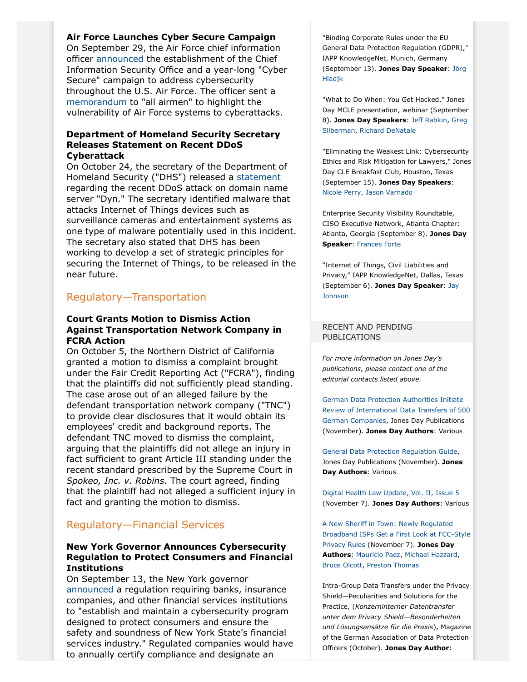## **Air Force Launches Cyber Secure Campaign**

On September 29, the Air Force chief information officer [announced](http://www.af.mil/Portals/1/documents/cct/2016/CCT_29_SEPT_2016.pdf?ver=2016-09-29-172112-287) the establishment of the Chief Information Security Office and a year-long "Cyber Secure" campaign to address cybersecurity throughout the U.S. Air Force. The officer sent a [memorandum](http://www.af.mil/Portals/1/images/cybersecure/2016-09-23%20Cybersecurity%20Awareness.pdf) to "all airmen" to highlight the vulnerability of Air Force systems to cyberattacks.

#### **Department of Homeland Security Secretary Releases Statement on Recent DDoS Cyberattack**

On October 24, the secretary of the Department of Homeland Security ("DHS") released a [statement](https://www.dhs.gov/news/2016/10/24/statement-secretary-johnson-recent-cyber-incident) regarding the recent DDoS attack on domain name server "Dyn." The secretary identified malware that attacks Internet of Things devices such as surveillance cameras and entertainment systems as one type of malware potentially used in this incident. The secretary also stated that DHS has been working to develop a set of strategic principles for securing the Internet of Things, to be released in the near future.

# Regulatory—Transportation

#### **Court Grants Motion to Dismiss Action Against Transportation Network Company in FCRA Action**

On October 5, the Northern District of California granted a motion to dismiss a complaint brought under the Fair Credit Reporting Act ("FCRA"), finding that the plaintiffs did not sufficiently plead standing. The case arose out of an alleged failure by the defendant transportation network company ("TNC") to provide clear disclosures that it would obtain its employees' credit and background reports. The defendant TNC moved to dismiss the complaint, arguing that the plaintiffs did not allege an injury in fact sufficient to grant Article III standing under the recent standard prescribed by the Supreme Court in *Spokeo, Inc. v. Robins*. The court agreed, finding that the plaintiff had not alleged a sufficient injury in fact and granting the motion to dismiss.

# Regulatory—Financial Services

### <span id="page-3-0"></span>**New York Governor Announces Cybersecurity Regulation to Protect Consumers and Financial Institutions**

On September 13, the New York governor [announced](http://www.dfs.ny.gov/about/press/pr1609131.htm) a regulation requiring banks, insurance companies, and other financial services institutions to "establish and maintain a cybersecurity program designed to protect consumers and ensure the safety and soundness of New York State's financial services industry." Regulated companies would have to annually certify compliance and designate an

"Binding Corporate Rules under the EU General Data Protection Regulation (GDPR)," IAPP KnowledgeNet, Munich, Germany (September 13). **Jones Day Speaker**: [Jörg](http://www.jonesday.com/jhladjk) [Hladjk](http://www.jonesday.com/jhladjk)

"What to Do When: You Get Hacked," Jones Day MCLE presentation, webinar (September 8). **Jones Day Speakers**: [Jeff Rabkin,](http://www.jonesday.com/jrabkin) [Greg](http://www.jonesday.com/gpsilberman) [Silberman,](http://www.jonesday.com/gpsilberman) [Richard DeNatale](http://www.jonesday.com/rdenatale)

"Eliminating the Weakest Link: Cybersecurity Ethics and Risk Mitigation for Lawyers," Jones Day CLE Breakfast Club, Houston, Texas (September 15). **Jones Day Speakers**: [Nicole Perry,](http://www.jonesday.com/nmperry) [Jason Varnado](http://www.jonesday.com/jvarnado)

Enterprise Security Visibility Roundtable, CISO Executive Network, Atlanta Chapter: Atlanta, Georgia (September 8). **Jones Day Speaker**: [Frances Forte](http://www.jonesday.com/fforte)

"Internet of Things, Civil Liabilities and Privacy," IAPP KnowledgeNet, Dallas, Texas (September 6). **Jones Day Speaker**: [Jay](http://www.jonesday.com/jjohnson) [Johnson](http://www.jonesday.com/jjohnson)

#### RECENT AND PENDING PUBLICATIONS

*For more information on Jones Day's publications, please contact one of the editorial contacts listed above.*

[German Data Protection Authorities Initiate](http://www.jonesday.com/german-data-protection-authorities-initiate-review-of-international-data-transfers-of-500-german-companies-11-10-2016/) [Review of International Data Transfers of 500](http://www.jonesday.com/german-data-protection-authorities-initiate-review-of-international-data-transfers-of-500-german-companies-11-10-2016/) [German Companies,](http://www.jonesday.com/german-data-protection-authorities-initiate-review-of-international-data-transfers-of-500-german-companies-11-10-2016/) Jones Day Publications (November). **Jones Day Authors**: Various

[General Data Protection Regulation Guide,](http://www.jonesday.com/files/Publication/1af15508-11e4-496f-8c03-556e05f16907/Presentation/PublicationAttachment/e7deefa8-0d0e-4d9a-8967-76c9d5ca88f5/GDPR%20Pocket%20Guide%20A5%2010_3_16%20FINAL.pdf) Jones Day Publications (November). **Jones Day Authors**: Various

[Digital Health Law Update, Vol. II, Issue 5](http://www.jonesday.com/digital-health-law-update-vol-ii-issue-5-11-07-2016/) (November 7). **Jones Day Authors**: Various

[A New Sheriff in Town: Newly Regulated](http://www.jonesday.com/a-new-sheriff-in-town-newly-regulated-broadband-isps-get-a-first-look-at-fcc-style-privacy-rules-11-07-2016/) [Broadband ISPs Get a First Look at FCC-Style](http://www.jonesday.com/a-new-sheriff-in-town-newly-regulated-broadband-isps-get-a-first-look-at-fcc-style-privacy-rules-11-07-2016/) [Privacy Rules](http://www.jonesday.com/a-new-sheriff-in-town-newly-regulated-broadband-isps-get-a-first-look-at-fcc-style-privacy-rules-11-07-2016/) (November 7). **Jones Day Authors**: [Mauricio Paez](http://www.jonesday.com/mfpaez), [Michael Hazzard,](http://www.jonesday.com/mhazzard) [Bruce Olcott](http://www.jonesday.com/bolcott), [Preston Thomas](http://www.jonesday.com/pthomas)

Intra-Group Data Transfers under the Privacy Shield—Peculiarities and Solutions for the Practice, (*Konzerninterner Datentransfer unter dem Privacy Shield—Besonderheiten und Lösungsansätze für die Praxis*), Magazine of the German Association of Data Protection Officers (October). **Jones Day Author**: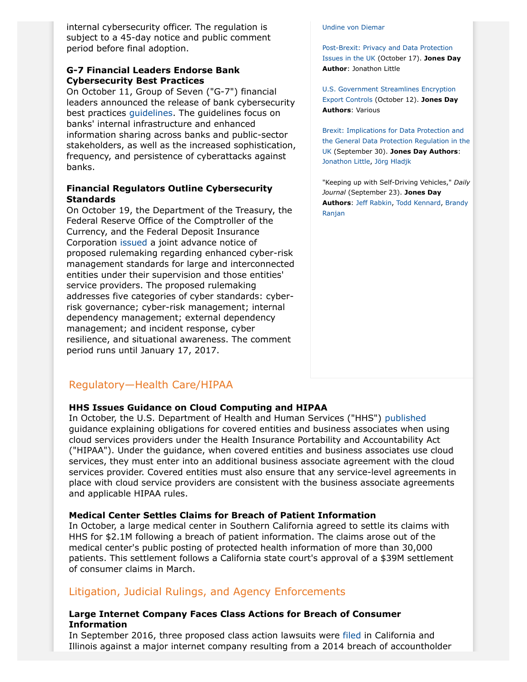internal cybersecurity officer. The regulation is subject to a 45-day notice and public comment period before final adoption.

# **G-7 Financial Leaders Endorse Bank Cybersecurity Best Practices**

On October 11, Group of Seven ("G-7") financial leaders announced the release of bank cybersecurity best practices [guidelines.](http://www.mof.go.jp/english/international_policy/convention/g7/g7_161011_1.pdf) The guidelines focus on banks' internal infrastructure and enhanced information sharing across banks and public-sector stakeholders, as well as the increased sophistication, frequency, and persistence of cyberattacks against banks.

## <span id="page-4-0"></span>**Financial Regulators Outline Cybersecurity Standards**

On October 19, the Department of the Treasury, the Federal Reserve Office of the Comptroller of the Currency, and the Federal Deposit Insurance Corporation [issued](https://www.federalreserve.gov/newsevents/press/bcreg/bcreg20161019a1.pdf) a joint advance notice of proposed rulemaking regarding enhanced cyber-risk management standards for large and interconnected entities under their supervision and those entities' service providers. The proposed rulemaking addresses five categories of cyber standards: cyberrisk governance; cyber-risk management; internal dependency management; external dependency management; and incident response, cyber resilience, and situational awareness. The comment period runs until January 17, 2017.

#### [Undine von Diemar](http://www.jonesday.com/uvondiemar)

[Post-Brexit: Privacy and Data Protection](http://www.jonesday.com/post-brexit-privacy-and-data-protection-issues-in-the-uk-10-17-2016/) [Issues in the UK](http://www.jonesday.com/post-brexit-privacy-and-data-protection-issues-in-the-uk-10-17-2016/) (October 17). **Jones Day Author**: Jonathon Little

[U.S. Government Streamlines Encryption](http://www.jonesday.com/us-government-streamlines-encryption-export-controls-10-12-2016/) [Export Controls](http://www.jonesday.com/us-government-streamlines-encryption-export-controls-10-12-2016/) (October 12). **Jones Day Authors**: Various

[Brexit: Implications for Data Protection and](http://www.jonesday.com/brexit-implications-for-data-protection-and-the-general-data-protection-regulation-in-the-uk-09-30-2016/) [the General Data Protection Regulation in the](http://www.jonesday.com/brexit-implications-for-data-protection-and-the-general-data-protection-regulation-in-the-uk-09-30-2016/) [UK](http://www.jonesday.com/brexit-implications-for-data-protection-and-the-general-data-protection-regulation-in-the-uk-09-30-2016/) (September 30). **Jones Day Authors**: [Jonathon Little](http://www.jonesday.com/jrlittle), [Jörg Hladjk](http://www.jonesday.com/jhladjk)

"Keeping up with Self-Driving Vehicles," *Daily Journal* (September 23). **Jones Day Authors**: [Jeff Rabkin](http://www.jonesday.com/jrabkin), [Todd Kennard](http://www.jonesday.com/jtkennard), [Brandy](http://www.jonesday.com/branjan) [Ranjan](http://www.jonesday.com/branjan)

# Regulatory—Health Care/HIPAA

### **HHS Issues Guidance on Cloud Computing and HIPAA**

In October, the U.S. Department of Health and Human Services ("HHS") [published](http://www.hhs.gov/hipaa/for-professionals/special-topics/cloud-computing/index.html) guidance explaining obligations for covered entities and business associates when using cloud services providers under the Health Insurance Portability and Accountability Act ("HIPAA"). Under the guidance, when covered entities and business associates use cloud services, they must enter into an additional business associate agreement with the cloud services provider. Covered entities must also ensure that any service-level agreements in place with cloud service providers are consistent with the business associate agreements and applicable HIPAA rules.

### **Medical Center Settles Claims for Breach of Patient Information**

In October, a large medical center in Southern California agreed to settle its claims with HHS for \$2.1M following a breach of patient information. The claims arose out of the medical center's public posting of protected health information of more than 30,000 patients. This settlement follows a California state court's approval of a \$39M settlement of consumer claims in March.

# Litigation, Judicial Rulings, and Agency Enforcements

# **Large Internet Company Faces Class Actions for Breach of Consumer Information**

In September 2016, three proposed class action lawsuits were [filed](http://assets.law360news.com/0843000/843922/yahoo-lab.pdf) in California and Illinois against a major internet company resulting from a 2014 breach of accountholder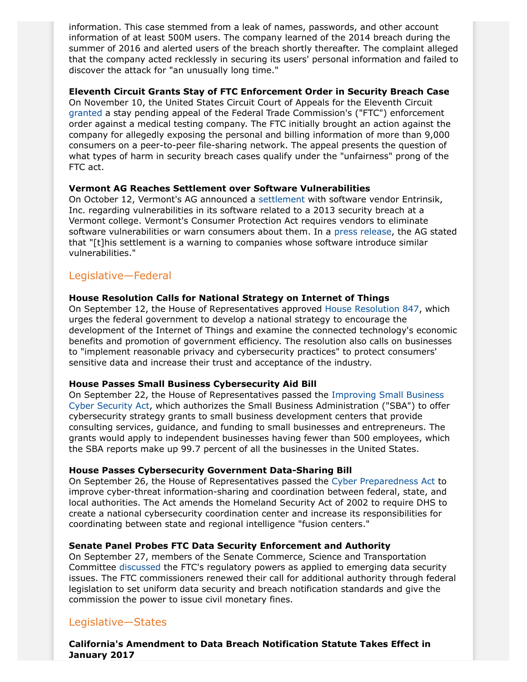information. This case stemmed from a leak of names, passwords, and other account information of at least 500M users. The company learned of the 2014 breach during the summer of 2016 and alerted users of the breach shortly thereafter. The complaint alleged that the company acted recklessly in securing its users' personal information and failed to discover the attack for "an unusually long time."

### **Eleventh Circuit Grants Stay of FTC Enforcement Order in Security Breach Case**

On November 10, the United States Circuit Court of Appeals for the Eleventh Circuit [granted](https://dlbjbjzgnk95t.cloudfront.net/0861000/861892/stay%20opinion.pdf) a stay pending appeal of the Federal Trade Commission's ("FTC") enforcement order against a medical testing company. The FTC initially brought an action against the company for allegedly exposing the personal and billing information of more than 9,000 consumers on a peer-to-peer file-sharing network. The appeal presents the question of what types of harm in security breach cases qualify under the "unfairness" prong of the FTC act.

## **Vermont AG Reaches Settlement over Software Vulnerabilities**

On October 12, Vermont's AG announced a [settlement](http://www.ago.vermont.gov/assets/files/PressReleases/Consumer/Entrinsik%20AOD.pdf) with software vendor Entrinsik, Inc. regarding vulnerabilities in its software related to a 2013 security breach at a Vermont college. Vermont's Consumer Protection Act requires vendors to eliminate software vulnerabilities or warn consumers about them. In a [press release,](http://ago.vermont.gov/focus/news/attorney-general-enters-unique-data-security-settlement-with-software-developer.php) the AG stated that "[t]his settlement is a warning to companies whose software introduce similar vulnerabilities."

# Legislative—Federal

## **House Resolution Calls for National Strategy on Internet of Things**

On September 12, the House of Representatives approved [House Resolution 847](https://www.congress.gov/114/bills/hres847/BILLS-114hres847eh.pdf), which urges the federal government to develop a national strategy to encourage the development of the Internet of Things and examine the connected technology's economic benefits and promotion of government efficiency. The resolution also calls on businesses to "implement reasonable privacy and cybersecurity practices" to protect consumers' sensitive data and increase their trust and acceptance of the industry.

### **House Passes Small Business Cybersecurity Aid Bill**

On September 22, the House of Representatives passed the [Improving Small Business](https://www.congress.gov/114/bills/hr5064/BILLS-114hr5064rds.pdf) [Cyber Security Act,](https://www.congress.gov/114/bills/hr5064/BILLS-114hr5064rds.pdf) which authorizes the Small Business Administration ("SBA") to offer cybersecurity strategy grants to small business development centers that provide consulting services, guidance, and funding to small businesses and entrepreneurs. The grants would apply to independent businesses having fewer than 500 employees, which the SBA reports make up 99.7 percent of all the businesses in the United States.

### **House Passes Cybersecurity Government Data-Sharing Bill**

On September 26, the House of Representatives passed the [Cyber Preparedness Act](https://www.congress.gov/114/bills/hr5459/BILLS-114hr5459rfs.pdf) to improve cyber-threat information-sharing and coordination between federal, state, and local authorities. The Act amends the Homeland Security Act of 2002 to require DHS to create a national cybersecurity coordination center and increase its responsibilities for coordinating between state and regional intelligence "fusion centers."

# **Senate Panel Probes FTC Data Security Enforcement and Authority**

On September 27, members of the Senate Commerce, Science and Transportation Committee [discussed](http://www.commerce.senate.gov/public/index.cfm/hearings?ID=8719C13D-7DB4-4FE1-9F26-DDA55BF46852) the FTC's regulatory powers as applied to emerging data security issues. The FTC commissioners renewed their call for additional authority through federal legislation to set uniform data security and breach notification standards and give the commission the power to issue civil monetary fines.

# Legislative—States

**California's Amendment to Data Breach Notification Statute Takes Effect in January 2017**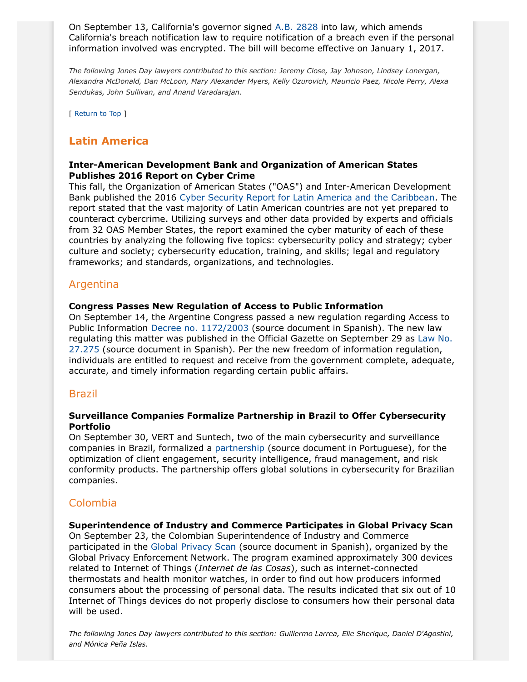On September 13, California's governor signed [A.B. 2828](http://leginfo.legislature.ca.gov/faces/billNavClient.xhtml?bill_id=201520160AB2828) into law, which amends California's breach notification law to require notification of a breach even if the personal information involved was encrypted. The bill will become effective on January 1, 2017.

*The following Jones Day lawyers contributed to this section: Jeremy Close, Jay Johnson, Lindsey Lonergan, Alexandra McDonald, Dan McLoon, Mary Alexander Myers, Kelly Ozurovich, Mauricio Paez, Nicole Perry, Alexa Sendukas, John Sullivan, and Anand Varadarajan.*

[ Return to Top ]

# <span id="page-6-0"></span>**Latin America**

### **Inter-American Development Bank and Organization of American States Publishes 2016 Report on Cyber Crime**

This fall, the Organization of American States ("OAS") and Inter-American Development Bank published the 2016 [Cyber Security Report for Latin America and the Caribbean](http://www.felabancelaes.com/downloads/Cybersecurity-Are-We-Prepared-in-Latin-America-and-the-Caribbean.pdf). The report stated that the vast majority of Latin American countries are not yet prepared to counteract cybercrime. Utilizing surveys and other data provided by experts and officials from 32 OAS Member States, the report examined the cyber maturity of each of these countries by analyzing the following five topics: cybersecurity policy and strategy; cyber culture and society; cybersecurity education, training, and skills; legal and regulatory frameworks; and standards, organizations, and technologies.

# Argentina

#### **Congress Passes New Regulation of Access to Public Information**

On September 14, the Argentine Congress passed a new regulation regarding Access to Public Information [Decree no. 1172/2003](http://servicios.infoleg.gob.ar/infolegInternet/anexos/90000-94999/90763/norma.htm) (source document in Spanish). The new law regulating this matter was published in the Official Gazette on September 29 as [Law No.](http://www.ditc.com.ar/2016/09/30/ley-27275-ley-de-acceso-a-la-informacion-publica/) [27.275](http://www.ditc.com.ar/2016/09/30/ley-27275-ley-de-acceso-a-la-informacion-publica/) (source document in Spanish). Per the new freedom of information regulation, individuals are entitled to request and receive from the government complete, adequate, accurate, and timely information regarding certain public affairs.

# Brazil

#### **Surveillance Companies Formalize Partnership in Brazil to Offer Cybersecurity Portfolio**

On September 30, VERT and Suntech, two of the main cybersecurity and surveillance companies in Brazil, formalized a [partnership](http://convergecom.com.br/tiinside/seguranca/mercado-seguranca/30/09/2016/vert-e-suntech-fecham-parceria-para-oferecer-portfolio-de-cybersecurity/?noticiario=SG) (source document in Portuguese), for the optimization of client engagement, security intelligence, fraud management, and risk conformity products. The partnership offers global solutions in cybersecurity for Brazilian companies.

# Colombia

#### **Superintendence of Industry and Commerce Participates in Global Privacy Scan**

On September 23, the Colombian Superintendence of Industry and Commerce participated in the [Global Privacy Scan](http://www.sic.gov.co/drupal/noticias/superindustria-se-une-por-tercer-anio-consecutivo-a-barrido-global-de-privacidad) (source document in Spanish), organized by the Global Privacy Enforcement Network. The program examined approximately 300 devices related to Internet of Things (*Internet de las Cosas*), such as internet-connected thermostats and health monitor watches, in order to find out how producers informed consumers about the processing of personal data. The results indicated that six out of 10 Internet of Things devices do not properly disclose to consumers how their personal data will be used.

*The following Jones Day lawyers contributed to this section: Guillermo Larrea, Elie Sherique, Daniel D'Agostini, and Mónica Peña Islas.*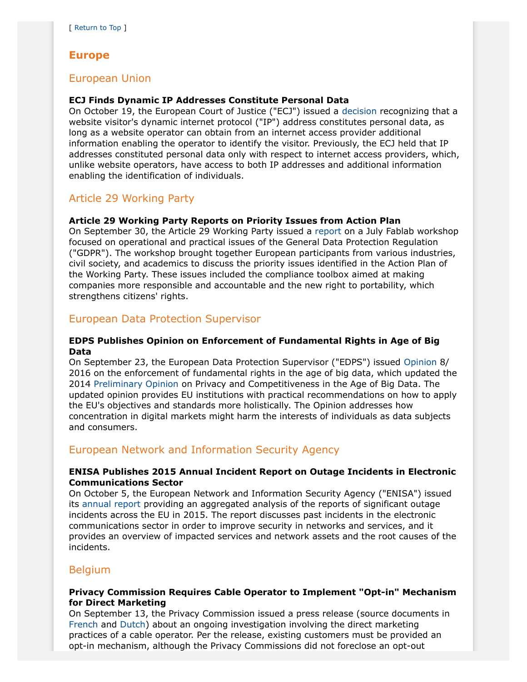# <span id="page-7-0"></span>**Europe**

# European Union

## **ECJ Finds Dynamic IP Addresses Constitute Personal Data**

On October 19, the European Court of Justice ("ECJ") issued a [decision](http://curia.europa.eu/juris/document/document.jsf;jsessionid=9ea7d2dc30d5471f0f6fc09e4e898386cbd1b33a5a4b.e34KaxiLc3qMb40Rch0SaxyKaxr0?text=&docid=184668&pageIndex=0&doclang=EN&mode=req&dir=&occ=first&part=1&cid=847265) recognizing that a website visitor's dynamic internet protocol ("IP") address constitutes personal data, as long as a website operator can obtain from an internet access provider additional information enabling the operator to identify the visitor. Previously, the ECJ held that IP addresses constituted personal data only with respect to internet access providers, which, unlike website operators, have access to both IP addresses and additional information enabling the identification of individuals.

# Article 29 Working Party

## **Article 29 Working Party Reports on Priority Issues from Action Plan**

On September 30, the Article 29 Working Party issued a [report](http://ec.europa.eu/justice/data-protection/article-29/documentation/other-document/files/2016/20160930_fablab_results_of_discussions_en.pdf) on a July Fablab workshop focused on operational and practical issues of the General Data Protection Regulation ("GDPR"). The workshop brought together European participants from various industries, civil society, and academics to discuss the priority issues identified in the Action Plan of the Working Party. These issues included the compliance toolbox aimed at making companies more responsible and accountable and the new right to portability, which strengthens citizens' rights.

# European Data Protection Supervisor

#### **EDPS Publishes Opinion on Enforcement of Fundamental Rights in Age of Big Data**

On September 23, the European Data Protection Supervisor ("EDPS") issued [Opinion](https://secure.edps.europa.eu/EDPSWEB/webdav/site/mySite/shared/Documents/EDPS/Events/16-09-23_BigData_opinion_EN.pdf) 8/ 2016 on the enforcement of fundamental rights in the age of big data, which updated the 2014 [Preliminary Opinion](https://secure.edps.europa.eu/EDPSWEB/webdav/shared/Documents/Consultation/Opinions/2014/14-03-26_competitition_law_big_data_EN.pdf) on Privacy and Competitiveness in the Age of Big Data. The updated opinion provides EU institutions with practical recommendations on how to apply the EU's objectives and standards more holistically. The Opinion addresses how concentration in digital markets might harm the interests of individuals as data subjects and consumers.

# European Network and Information Security Agency

## **ENISA Publishes 2015 Annual Incident Report on Outage Incidents in Electronic Communications Sector**

On October 5, the European Network and Information Security Agency ("ENISA") issued its [annual report](https://www.enisa.europa.eu/publications/annual-incident-reports-2015) providing an aggregated analysis of the reports of significant outage incidents across the EU in 2015. The report discusses past incidents in the electronic communications sector in order to improve security in networks and services, and it provides an overview of impacted services and network assets and the root causes of the incidents.

# Belgium

## **Privacy Commission Requires Cable Operator to Implement "Opt-in" Mechanism for Direct Marketing**

On September 13, the Privacy Commission issued a press release (source documents in [French](https://www.privacycommission.be/fr/news/la-commission-vie-privee-examine-les-pratiques-de-marketing-direct-de-telenet) and [Dutch](https://www.privacycommission.be/nl/nieuws/privacycommissie-onderzoekt-direct-marketing-praktijk-van-telenet-opt-in-moet-de-basis-zijn)) about an ongoing investigation involving the direct marketing practices of a cable operator. Per the release, existing customers must be provided an opt-in mechanism, although the Privacy Commissions did not foreclose an opt-out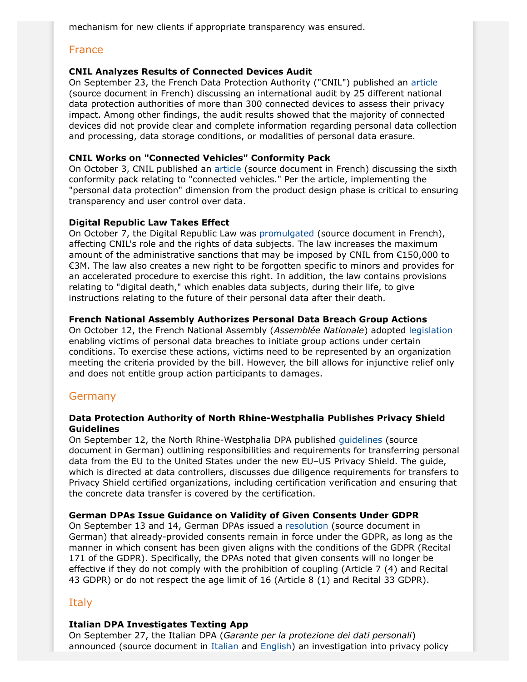mechanism for new clients if appropriate transparency was ensured.

# France

## **CNIL Analyzes Results of Connected Devices Audit**

On September 23, the French Data Protection Authority ("CNIL") published an [article](https://www.cnil.fr/fr/sweep-day-2016-des-objets-connectes-encore-trop-peu-transparents-sur-lutilisation-des-donnees) (source document in French) discussing an international audit by 25 different national data protection authorities of more than 300 connected devices to assess their privacy impact. Among other findings, the audit results showed that the majority of connected devices did not provide clear and complete information regarding personal data collection and processing, data storage conditions, or modalities of personal data erasure.

### **CNIL Works on "Connected Vehicles" Conformity Pack**

On October 3, CNIL published an [article](https://www.cnil.fr/fr/vehicules-connectes-pour-une-utilisation-responsable-des-donnees) (source document in French) discussing the sixth conformity pack relating to "connected vehicles." Per the article, implementing the "personal data protection" dimension from the product design phase is critical to ensuring transparency and user control over data.

## **Digital Republic Law Takes Effect**

On October 7, the Digital Republic Law was [promulgated](https://www.legifrance.gouv.fr/affichTexte.do?cidTexte=JORFTEXT000033202746&dateTexte=&categorieLien=id) (source document in French), affecting CNIL's role and the rights of data subjects. The law increases the maximum amount of the administrative sanctions that may be imposed by CNIL from  $£150,000$  to €3M. The law also creates a new right to be forgotten specific to minors and provides for an accelerated procedure to exercise this right. In addition, the law contains provisions relating to "digital death," which enables data subjects, during their life, to give instructions relating to the future of their personal data after their death.

## **French National Assembly Authorizes Personal Data Breach Group Actions**

On October 12, the French National Assembly (*Assemblée Nationale*) adopted [legislation](http://www.assemblee-nationale.fr/14/ta/ta0824.asp) enabling victims of personal data breaches to initiate group actions under certain conditions. To exercise these actions, victims need to be represented by an organization meeting the criteria provided by the bill. However, the bill allows for injunctive relief only and does not entitle group action participants to damages.

# Germany

### **Data Protection Authority of North Rhine-Westphalia Publishes Privacy Shield Guidelines**

On September 12, the North Rhine-Westphalia DPA published [guidelines](https://www.ldi.nrw.de/mainmenu_Datenschutz/submenu_Datenschutzrecht/Inhalt/InternationalerDatenverkehr/Inhalt/Eingangsseite/EU_US_Privacy_Shield_Text_komplett.pdf) (source document in German) outlining responsibilities and requirements for transferring personal data from the EU to the United States under the new EU–US Privacy Shield. The guide, which is directed at data controllers, discusses due diligence requirements for transfers to Privacy Shield certified organizations, including certification verification and ensuring that the concrete data transfer is covered by the certification.

### **German DPAs Issue Guidance on Validity of Given Consents Under GDPR**

On September 13 and 14, German DPAs issued a [resolution](https://www.lda.bayern.de/media/dk_einwilligung.pdf) (source document in German) that already-provided consents remain in force under the GDPR, as long as the manner in which consent has been given aligns with the conditions of the GDPR (Recital 171 of the GDPR). Specifically, the DPAs noted that given consents will no longer be effective if they do not comply with the prohibition of coupling (Article 7 (4) and Recital 43 GDPR) or do not respect the age limit of 16 (Article 8 (1) and Recital 33 GDPR).

# Italy

# **Italian DPA Investigates Texting App**

On September 27, the Italian DPA (*Garante per la protezione dei dati personali*) announced (source document in [Italian](http://www.garanteprivacy.it/web/guest/home/docweb/-/docweb-display/docweb/5460932) and [English\)](http://www.garanteprivacy.it/web/guest/home/docweb/-/docweb-display/docweb/5498297) an investigation into privacy policy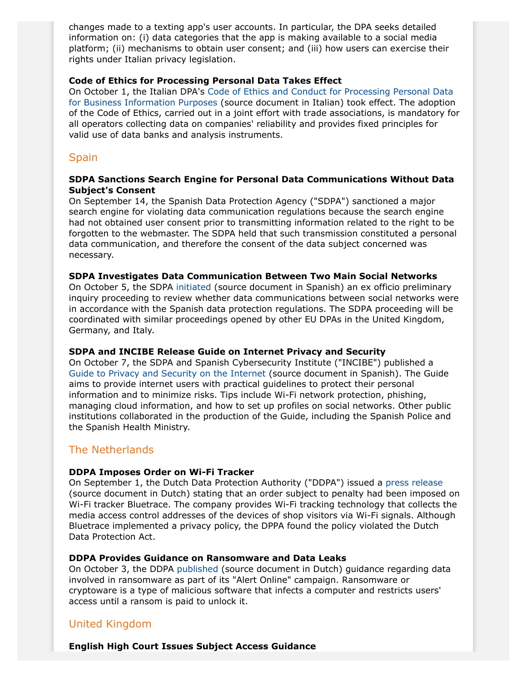changes made to a texting app's user accounts. In particular, the DPA seeks detailed information on: (i) data categories that the app is making available to a social media platform; (ii) mechanisms to obtain user consent; and (iii) how users can exercise their rights under Italian privacy legislation.

## **Code of Ethics for Processing Personal Data Takes Effect**

On October 1, the Italian DPA's [Code of Ethics and Conduct for Processing Personal Data](http://www.garanteprivacy.it/web/guest/home/docweb/-/docweb-display/docweb/5268254) [for Business Information Purposes](http://www.garanteprivacy.it/web/guest/home/docweb/-/docweb-display/docweb/5268254) (source document in Italian) took effect. The adoption of the Code of Ethics, carried out in a joint effort with trade associations, is mandatory for all operators collecting data on companies' reliability and provides fixed principles for valid use of data banks and analysis instruments.

# **Spain**

### **SDPA Sanctions Search Engine for Personal Data Communications Without Data Subject's Consent**

On September 14, the Spanish Data Protection Agency ("SDPA") sanctioned a major search engine for violating data communication regulations because the search engine had not obtained user consent prior to transmitting information related to the right to be forgotten to the webmaster. The SDPA held that such transmission constituted a personal data communication, and therefore the consent of the data subject concerned was necessary.

### **SDPA Investigates Data Communication Between Two Main Social Networks**

On October 5, the SDPA [initiated](http://www.agpd.es/portalwebAGPD/revista_prensa/revista_prensa/2016/notas_prensa/news/2016_10_05-ides-idphp.php) (source document in Spanish) an ex officio preliminary inquiry proceeding to review whether data communications between social networks were in accordance with the Spanish data protection regulations. The SDPA proceeding will be coordinated with similar proceedings opened by other EU DPAs in the United Kingdom, Germany, and Italy.

### **SDPA and INCIBE Release Guide on Internet Privacy and Security**

On October 7, the SDPA and Spanish Cybersecurity Institute ("INCIBE") published a [Guide to Privacy and Security on the Internet](http://www.agpd.es/portalwebAGPD/canaldocumentacion/publicaciones/common/Guias/2016/Privacidad_y_Seguridad_en_Internet.pdf) (source document in Spanish). The Guide aims to provide internet users with practical guidelines to protect their personal information and to minimize risks. Tips include Wi-Fi network protection, phishing, managing cloud information, and how to set up profiles on social networks. Other public institutions collaborated in the production of the Guide, including the Spanish Police and the Spanish Health Ministry.

# The Netherlands

### **DDPA Imposes Order on Wi-Fi Tracker**

On September 1, the Dutch Data Protection Authority ("DDPA") issued a [press release](https://autoriteitpersoonsgegevens.nl/nl/nieuws/ap-legt-wifi-tracker-bluetrace-last-onder-dwangsom-op) (source document in Dutch) stating that an order subject to penalty had been imposed on Wi-Fi tracker Bluetrace. The company provides Wi-Fi tracking technology that collects the media access control addresses of the devices of shop visitors via Wi-Fi signals. Although Bluetrace implemented a privacy policy, the DPPA found the policy violated the Dutch Data Protection Act.

### **DDPA Provides Guidance on Ransomware and Data Leaks**

On October 3, the DDPA [published](https://autoriteitpersoonsgegevens.nl/nl/nieuws/datalek-door-ransomware-wat-moet-u-doen) (source document in Dutch) guidance regarding data involved in ransomware as part of its "Alert Online" campaign. Ransomware or cryptoware is a type of malicious software that infects a computer and restricts users' access until a ransom is paid to unlock it.

# United Kingdom

**English High Court Issues Subject Access Guidance**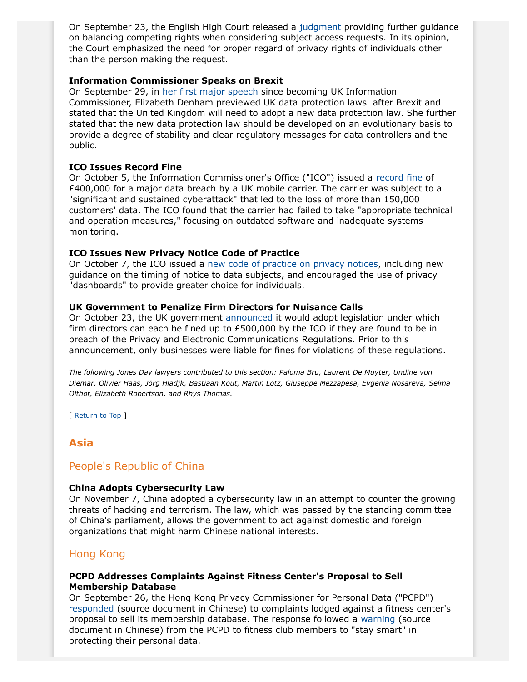On September 23, the English High Court released a [judgment](http://www.bailii.org/ew/cases/EWHC/QB/2016/2331.html) providing further guidance on balancing competing rights when considering subject access requests. In its opinion, the Court emphasized the need for proper regard of privacy rights of individuals other than the person making the request.

### <span id="page-10-1"></span>**Information Commissioner Speaks on Brexit**

On September 29, in [her first major speech](https://ico.org.uk/about-the-ico/news-and-events/news-and-blogs/2016/09/transparency-trust-and-progressive-data-protection/) since becoming UK Information Commissioner, Elizabeth Denham previewed UK data protection laws after Brexit and stated that the United Kingdom will need to adopt a new data protection law. She further stated that the new data protection law should be developed on an evolutionary basis to provide a degree of stability and clear regulatory messages for data controllers and the public.

## **ICO Issues Record Fine**

On October 5, the Information Commissioner's Office ("ICO") issued a [record fine](https://ico.org.uk/media/action-weve-taken/mpns/1625131/mpn-talk-talk-group-plc.pdf) of £400,000 for a major data breach by a UK mobile carrier. The carrier was subject to a "significant and sustained cyberattack" that led to the loss of more than 150,000 customers' data. The ICO found that the carrier had failed to take "appropriate technical and operation measures," focusing on outdated software and inadequate systems monitoring.

## **ICO Issues New Privacy Notice Code of Practice**

On October 7, the ICO issued a [new code of practice on privacy notices](https://ico.org.uk/for-organisations/guide-to-data-protection/privacy-notices-transparency-and-control/when-should-you-actively-communicate-privacy-information/), including new guidance on the timing of notice to data subjects, and encouraged the use of privacy "dashboards" to provide greater choice for individuals.

### **UK Government to Penalize Firm Directors for Nuisance Calls**

On October 23, the UK government [announced](https://www.gov.uk/government/news/government-clamps-down-on-nuisance-call-crooks) it would adopt legislation under which firm directors can each be fined up to £500,000 by the ICO if they are found to be in breach of the Privacy and Electronic Communications Regulations. Prior to this announcement, only businesses were liable for fines for violations of these regulations.

*The following Jones Day lawyers contributed to this section: Paloma Bru, Laurent De Muyter, Undine von Diemar, Olivier Haas, Jörg Hladjk, Bastiaan Kout, Martin Lotz, Giuseppe Mezzapesa, Evgenia Nosareva, Selma Olthof, Elizabeth Robertson, and Rhys Thomas.*

[ Return to Top ]

# <span id="page-10-0"></span>**Asia**

# People's Republic of China

# <span id="page-10-2"></span>**China Adopts Cybersecurity Law**

On November 7, China adopted a cybersecurity law in an attempt to counter the growing threats of hacking and terrorism. The law, which was passed by the standing committee of China's parliament, allows the government to act against domestic and foreign organizations that might harm Chinese national interests.

# Hong Kong

## **PCPD Addresses Complaints Against Fitness Center's Proposal to Sell Membership Database**

On September 26, the Hong Kong Privacy Commissioner for Personal Data ("PCPD") [responded](https://www.pcpd.org.hk/tc_chi/news_events/media_statements/press_20160926.html) (source document in Chinese) to complaints lodged against a fitness center's proposal to sell its membership database. The response followed a [warning](https://www.pcpd.org.hk/english/news_events/media_statements/press_20160923.html) (source document in Chinese) from the PCPD to fitness club members to "stay smart" in protecting their personal data.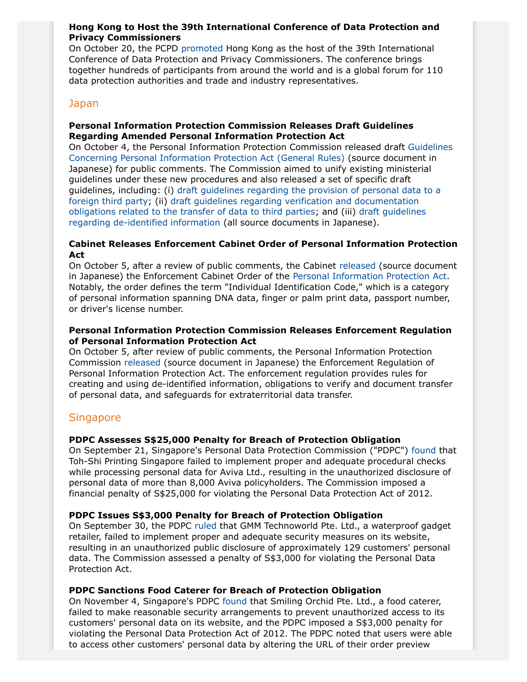## **Hong Kong to Host the 39th International Conference of Data Protection and Privacy Commissioners**

On October 20, the PCPD [promoted](https://www.pcpd.org.hk/english/news_events/media_statements/press_20161020.html) Hong Kong as the host of the 39th International Conference of Data Protection and Privacy Commissioners. The conference brings together hundreds of participants from around the world and is a global forum for 110 data protection authorities and trade and industry representatives.

### Japan

## **Personal Information Protection Commission Releases Draft Guidelines Regarding Amended Personal Information Protection Act**

On October 4, the Personal Information Protection Commission released draft [Guidelines](http://www.ppc.go.jp/files/pdf/guidelines01.pdf) [Concerning Personal Information Protection Act \(General Rules\)](http://www.ppc.go.jp/files/pdf/guidelines01.pdf) (source document in Japanese) for public comments. The Commission aimed to unify existing ministerial guidelines under these new procedures and also released a set of specific draft guidelines, including: (i) [draft guidelines regarding the provision of personal data to a](http://www.ppc.go.jp/files/pdf/guidelines02.pdf) [foreign third party](http://www.ppc.go.jp/files/pdf/guidelines02.pdf); (ii) [draft guidelines regarding verification and documentation](http://www.ppc.go.jp/files/pdf/guidelines03.pdf) [obligations related to the transfer of data to third parties](http://www.ppc.go.jp/files/pdf/guidelines03.pdf); and (iii) [draft guidelines](http://www.ppc.go.jp/files/pdf/guidelines04.pdf) [regarding de-identified information](http://www.ppc.go.jp/files/pdf/guidelines04.pdf) (all source documents in Japanese).

## **Cabinet Releases Enforcement Cabinet Order of Personal Information Protection Act**

On October 5, after a review of public comments, the Cabinet [released](http://www.ppc.go.jp/files/pdf/anbun-riyuu.pdf) (source document in Japanese) the Enforcement Cabinet Order of the [Personal Information Protection Act](http://www.ppc.go.jp/files/pdf/280222_amendedlaw.pdf). Notably, the order defines the term "Individual Identification Code," which is a category of personal information spanning DNA data, finger or palm print data, passport number, or driver's license number.

## **Personal Information Protection Commission Releases Enforcement Regulation of Personal Information Protection Act**

On October 5, after review of public comments, the Personal Information Protection Commission [released](http://www.ppc.go.jp/files/pdf/1005_kisoku.pdf) (source document in Japanese) the Enforcement Regulation of Personal Information Protection Act. The enforcement regulation provides rules for creating and using de-identified information, obligations to verify and document transfer of personal data, and safeguards for extraterritorial data transfer.

# **Singapore**

### **PDPC Assesses S\$25,000 Penalty for Breach of Protection Obligation**

On September 21, Singapore's Personal Data Protection Commission ("PDPC") [found](https://www.pdpc.gov.sg/docs/default-source/enforcement-data-protection-cases/grounds-of-decision-aviva-ltd-and-toh-shi-printing-singapore-(210916).pdf?sfvrsn=0) that Toh-Shi Printing Singapore failed to implement proper and adequate procedural checks while processing personal data for Aviva Ltd., resulting in the unauthorized disclosure of personal data of more than 8,000 Aviva policyholders. The Commission imposed a financial penalty of S\$25,000 for violating the Personal Data Protection Act of 2012.

### **PDPC Issues S\$3,000 Penalty for Breach of Protection Obligation**

On September 30, the PDPC [ruled](https://www.pdpc.gov.sg/docs/default-source/enforcement-data-protection-cases/grounds-of-decision---gmm-technoworld---300916.pdf?sfvrsn=0) that GMM Technoworld Pte. Ltd., a waterproof gadget retailer, failed to implement proper and adequate security measures on its website, resulting in an unauthorized public disclosure of approximately 129 customers' personal data. The Commission assessed a penalty of S\$3,000 for violating the Personal Data Protection Act.

### **PDPC Sanctions Food Caterer for Breach of Protection Obligation**

On November 4, Singapore's PDPC [found](https://www.pdpc.gov.sg/docs/default-source/enforcement-data-protection-cases/grounds-of-decision---smiling-orchid---041116.pdf?sfvrsn=0) that Smiling Orchid Pte. Ltd., a food caterer, failed to make reasonable security arrangements to prevent unauthorized access to its customers' personal data on its website, and the PDPC imposed a S\$3,000 penalty for violating the Personal Data Protection Act of 2012. The PDPC noted that users were able to access other customers' personal data by altering the URL of their order preview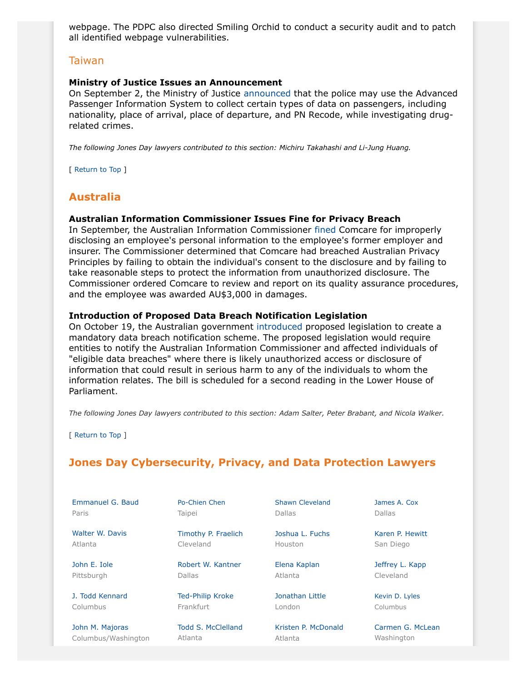webpage. The PDPC also directed Smiling Orchid to conduct a security audit and to patch all identified webpage vulnerabilities.

### Taiwan

#### **Ministry of Justice Issues an Announcement**

On September 2, the Ministry of Justice [announced](http://mojlaw.moj.gov.tw/LawContentExShow.aspx?ShowType=E&LawID=&LawNo=&ItemID=23942&KeyWord=) that the police may use the Advanced Passenger Information System to collect certain types of data on passengers, including nationality, place of arrival, place of departure, and PN Recode, while investigating drugrelated crimes.

*The following Jones Day lawyers contributed to this section: Michiru Takahashi and Li-Jung Huang.*

[ Return to Top ]

# <span id="page-12-0"></span>**Australia**

#### **Australian Information Commissioner Issues Fine for Privacy Breach**

In September, the Australian Information Commissioner [fined](https://www.oaic.gov.au/resources/privacy-law/determinations/2016-aicmr-64.pdf) Comcare for improperly disclosing an employee's personal information to the employee's former employer and insurer. The Commissioner determined that Comcare had breached Australian Privacy Principles by failing to obtain the individual's consent to the disclosure and by failing to take reasonable steps to protect the information from unauthorized disclosure. The Commissioner ordered Comcare to review and report on its quality assurance procedures, and the employee was awarded AU\$3,000 in damages.

#### <span id="page-12-2"></span>**Introduction of Proposed Data Breach Notification Legislation**

On October 19, the Australian government [introduced](http://parlinfo.aph.gov.au/parlInfo/download/legislation/bills/r5747_first-reps/toc_pdf/16158b01.pdf;fileType=application%2Fpdf) proposed legislation to create a mandatory data breach notification scheme. The proposed legislation would require entities to notify the Australian Information Commissioner and affected individuals of "eligible data breaches" where there is likely unauthorized access or disclosure of information that could result in serious harm to any of the individuals to whom the information relates. The bill is scheduled for a second reading in the Lower House of Parliament.

*The following Jones Day lawyers contributed to this section: Adam Salter, Peter Brabant, and Nicola Walker.*

[ Return to Top ]

Columbus/Washington

# <span id="page-12-1"></span>**Jones Day Cybersecurity, Privacy, and Data Protection Lawyers**

| Emmanuel G. Baud    | Po-Chien Chen           | Shawn Cleveland     | James A. Cox     |
|---------------------|-------------------------|---------------------|------------------|
| Paris               | Taipei                  | <b>Dallas</b>       | Dallas           |
| Walter W. Davis     | Timothy P. Fraelich     | Joshua L. Fuchs     | Karen P. Hewitt  |
| Atlanta             | Cleveland               | Houston             | San Diego        |
| John E. Iole        | Robert W. Kantner       | Elena Kaplan        | Jeffrey L. Kapp  |
| Pittsburgh          | <b>Dallas</b>           | Atlanta             | Cleveland        |
| J. Todd Kennard     | <b>Ted-Philip Kroke</b> | Jonathan Little     | Kevin D. Lyles   |
| Columbus            | Frankfurt               | London              | Columbus         |
| John M. Majoras     | Todd S. McClelland      | Kristen P. McDonald | Carmen G. McLean |
| Columbus/Washington | Atlanta                 | Atlanta             | Washington       |